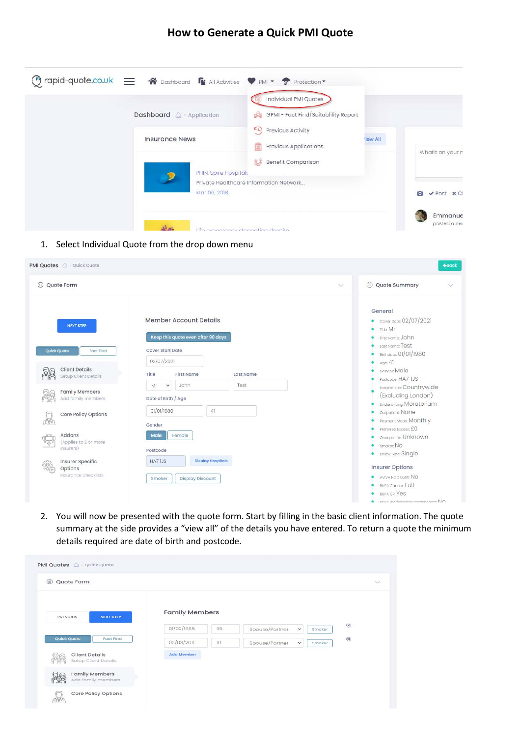# **How to Generate a Quick PMI Quote**

| Dashboard <sup>2</sup> Application    | Individual PMI Quotes<br>GPMI - Fact Find/Suitablility Report                           |                |                                |
|---------------------------------------|-----------------------------------------------------------------------------------------|----------------|--------------------------------|
| <b>Insurance News</b>                 | Previous Activity<br>E L)<br>Previous Applications<br>里<br><b>13</b> Benefit Comparison | <b>Tew All</b> | What's on your n               |
| PHIN: Spire Hospitals<br>Mar 06, 2018 | Private Healthcare Information Network                                                  |                | $\vee$ Post $\times$ Cl<br>Гo. |
|                                       | Life experiency stagnating decaite                                                      |                | Emmanue<br>posted a new        |

1. Select Individual Quote from the drop down menu

| PMI Quotes @ Quick Quote                                                                                                                                                                                                                                                                                                                     |                                                                                                                                                                                                                                                                                                                                                            | $\triangle$ Back                                                                                                                                                                                                                                                                                                                                                                                                                                                                                                                               |
|----------------------------------------------------------------------------------------------------------------------------------------------------------------------------------------------------------------------------------------------------------------------------------------------------------------------------------------------|------------------------------------------------------------------------------------------------------------------------------------------------------------------------------------------------------------------------------------------------------------------------------------------------------------------------------------------------------------|------------------------------------------------------------------------------------------------------------------------------------------------------------------------------------------------------------------------------------------------------------------------------------------------------------------------------------------------------------------------------------------------------------------------------------------------------------------------------------------------------------------------------------------------|
| $(\mathbf{h})$<br>Quote Form                                                                                                                                                                                                                                                                                                                 | $\vee$                                                                                                                                                                                                                                                                                                                                                     | © Quote Summary<br>$\checkmark$                                                                                                                                                                                                                                                                                                                                                                                                                                                                                                                |
| <b>NEXT STEP</b><br><b>Quick Quote</b><br><b>Fact Find</b><br><b>Client Details</b><br>Setup Client Details<br><b>Family Members</b><br>Add family members<br>Core Policy Options<br><b>TOMS</b><br>Addons<br>(Applies to 2 or more<br>$\frac{d\mathbf{b}}{d\mathbf{b}}$<br>insurers)<br>Insurer Specific<br>Options<br>Insurance checklists | <b>Member Account Details</b><br>Keep this quote even after 90 days<br><b>Cover Start Date</b><br>02/07/2021<br><b>First Name</b><br>Last Name<br>Title<br>John<br>Test<br>$\check{~}$<br>Mr<br>Date of Birth / Age<br>01/01/1980<br>41<br>Gender<br>Female<br>Male<br>Postcode<br><b>Display Hospitals</b><br>HA71JS<br><b>Display Discount</b><br>Smoker | General<br>• Cover Date: 02/07/2021<br>Title: Mr<br>First Name: JOhn<br>Last Name: Test<br>Birthdate: 01/01/1980<br>Age: 41<br>Gender: Male<br>Postcode: HA7 1JS<br>Hospital List: Countrywide<br>(Excluding London)<br><b>Underwriting: Moratorium</b><br>Outpatient: NONE<br>Payment Mode: Monthly<br>Preferred Excess: £0<br>Occupation: Unknown<br>Smoker: NO<br>Policy Type: Single<br>٠<br><b>Insurer Options</b><br>AVIVA NOD Uplift: NO<br>۰<br><b>BUPA Cancer: Full</b><br><b>BUPA GP: Yes</b><br>DIIDA Drafaeeianal Coartenarean: NO |

2. You will now be presented with the quote form. Start by filling in the basic client information. The quote summary at the side provides a "view all" of the details you have entered. To return a quote the minimum details required are date of birth and postcode.

|                                               |                       |    |                |                               | $\checkmark$ |
|-----------------------------------------------|-----------------------|----|----------------|-------------------------------|--------------|
| <b>PREVIOUS</b><br><b>NEXT STEP</b>           | <b>Family Members</b> |    |                |                               |              |
|                                               | 01/02/1985            | 36 | Spouse/Partner | $\checkmark$<br><b>Smoker</b> | $\circledR$  |
| Quick Quote<br><b>Fact Find</b>               | 02/03/2011            | 10 | Spouse/Partner | $\check{~}$<br>Smoker         | $\circledR$  |
| <b>Client Details</b><br>Setup Client Details | <b>Add Member</b>     |    |                |                               |              |
| <b>Family Members</b><br>Add family members   |                       |    |                |                               |              |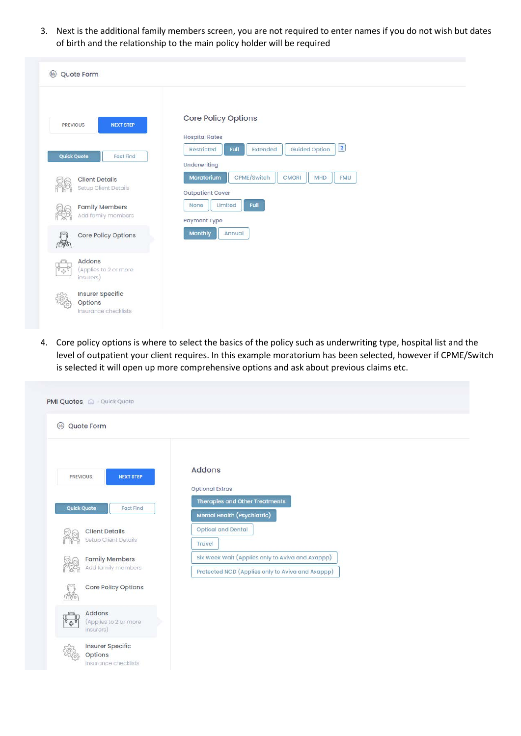3. Next is the additional family members screen, you are not required to enter names if you do not wish but dates of birth and the relationship to the main policy holder will be required

| $(\mathbb{I})$<br>Quote Form                                  |                                                                                                  |
|---------------------------------------------------------------|--------------------------------------------------------------------------------------------------|
| <b>NEXT STEP</b><br>PREVIOUS                                  | Core Policy Options<br><b>Hospital Rates</b>                                                     |
| <b>Quick Quote</b><br><b>Fact Find</b>                        | $\boxed{?}$<br><b>Guided Option</b><br>Extended<br>Restricted<br>Full<br>Underwriting            |
| <b>Client Details</b><br>Setup Client Details                 | CPME/Switch<br>Moratorium<br><b>CMORI</b><br><b>MHD</b><br><b>FMU</b><br><b>Outpatient Cover</b> |
| <b>Family Members</b><br>Add family members                   | Limited<br>Full<br>None<br>Payment Type                                                          |
| Core Policy Options<br><b>AB</b>                              | <b>Monthly</b><br>Annual                                                                         |
| Addons<br>(Applies to 2 or more<br>$\frac{1}{2}$<br>insurers) |                                                                                                  |
| Insurer Specific<br>Options<br>Insurance checklists           |                                                                                                  |

4. Core policy options is where to select the basics of the policy such as underwriting type, hospital list and the level of outpatient your client requires. In this example moratorium has been selected, however if CPME/Switch is selected it will open up more comprehensive options and ask about previous claims etc.

| $\circledR$<br>Quote Form                                |                                                                                                      |
|----------------------------------------------------------|------------------------------------------------------------------------------------------------------|
| <b>NEXT STEP</b><br><b>PREVIOUS</b>                      | Addons                                                                                               |
|                                                          | <b>Optional Extras</b>                                                                               |
| <b>Quick Quote</b><br><b>Fact Find</b>                   | <b>Therapies and Other Treatments</b><br>Mental Health (Psychiatric)                                 |
| <b>Client Details</b><br>Setup Client Details            | <b>Optical and Dental</b><br>Travel                                                                  |
| <b>Family Members</b><br>Add family members              | Six Week Wait (Applies only to Aviva and Axappp)<br>Protected NCD (Applies only to Aviva and Axappp) |
| <b>Core Policy Options</b><br><b>TOMS</b>                |                                                                                                      |
| Addons<br>(Applies to 2 or more<br><b>小</b><br>insurers) |                                                                                                      |
| <b>Insurer Specific</b><br><b>Options</b>                |                                                                                                      |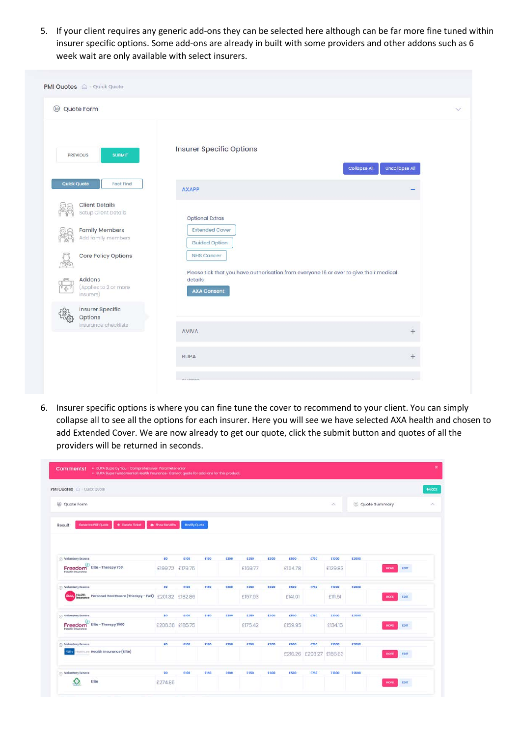5. If your client requires any generic add-ons they can be selected here although can be far more fine tuned within insurer specific options. Some add-ons are already in built with some providers and other addons such as 6 week wait are only available with select insurers.

| Quote Form                                                                                                                                                                                                            |                                                                                                                                                                                                                         |                       |
|-----------------------------------------------------------------------------------------------------------------------------------------------------------------------------------------------------------------------|-------------------------------------------------------------------------------------------------------------------------------------------------------------------------------------------------------------------------|-----------------------|
| <b>PREVIOUS</b><br><b>SUBMIT</b>                                                                                                                                                                                      | <b>Insurer Specific Options</b><br><b>Collapse All</b>                                                                                                                                                                  | <b>Uncollapse All</b> |
| <b>Quick Quote</b><br><b>Fact Find</b>                                                                                                                                                                                | <b>AXAPP</b>                                                                                                                                                                                                            |                       |
| <b>Client Details</b><br>Setup Client Details<br><b>Family Members</b><br>Add family members<br>Core Policy Options<br>099<br>Addons<br>(Applies to 2 or more<br>4<br>insurers)<br><b>Insurer Specific</b><br>Options | <b>Optional Extras</b><br><b>Extended Cover</b><br><b>Guided Option</b><br><b>NHS Cancer</b><br>Please tick that you have authorisation from everyone 16 or over to give their medical<br>details<br><b>AXA Consent</b> |                       |
| Insurance checklists                                                                                                                                                                                                  | <b>AVIVA</b>                                                                                                                                                                                                            | $^{+}$                |
|                                                                                                                                                                                                                       | <b>BUPA</b>                                                                                                                                                                                                             | $^{+}$                |
|                                                                                                                                                                                                                       |                                                                                                                                                                                                                         |                       |

6. Insurer specific options is where you can fine tune the cover to recommend to your client. You can simply collapse all to see all the options for each insurer. Here you will see we have selected AXA health and chosen to add Extended Cover. We are now already to get our quote, click the submit button and quotes of all the providers will be returned in seconds.

| PMI Quotes @ Quick Quote                                                |                        |                     |             |      |         |             |             |                 |               |       |               |             |
|-------------------------------------------------------------------------|------------------------|---------------------|-------------|------|---------|-------------|-------------|-----------------|---------------|-------|---------------|-------------|
| ◉<br>Quote Form                                                         |                        |                     |             |      |         |             |             |                 | $\mathcal{N}$ |       | Quote Summary |             |
| + Create Ticket<br>Generate PDF Quote<br>Result                         | <b>@</b> Show Benefits | <b>Modify Quote</b> |             |      |         |             |             |                 |               |       |               |             |
|                                                                         |                        |                     |             |      |         |             |             |                 |               |       |               |             |
|                                                                         |                        |                     |             |      |         |             |             |                 |               |       |               |             |
| <b>C Voluntary Excess</b>                                               | EO                     | E100                | E150        | £200 | £250    | E300        | E500        | £750            | <b>E1000</b>  | E2000 |               |             |
| Elite - Therapy 750<br>Freedom<br>Health Insurance                      |                        | £199.72 £179.75     |             |      | £169.77 |             | £154.78     |                 | £129.83       |       | <b>MORE</b>   | <b>TDIT</b> |
| <b>D</b> Voluntary Excess                                               | ro:                    | 6100                | <b>C150</b> | €200 | 6250    | 6300        | 6500        | €750            | <b>E1000</b>  | £2000 |               |             |
| Health<br>Insurance Personal Healthcare (Therapy - Full)                | £201.32 £182.86        |                     |             |      | £157.93 |             | £141.01     |                 | £111,51       |       | MORE          | EDIT        |
|                                                                         |                        |                     |             |      |         |             |             |                 |               |       |               |             |
|                                                                         | ED                     | E100                | <b>E150</b> | €200 | £250    | 6300        | <b>E500</b> | 6750            | £1000         | E2000 |               |             |
| Voluntary Excess<br>Elite - Therapy 1500<br>Freedom<br>Health Insurance | £206.38 £185.75        |                     |             |      | £175.42 |             | £159.95     |                 | £134.15       |       | MORE          | EDIT        |
| Voluntary Excess                                                        | EO                     | E100                | E150        | E200 | £250    | <b>E300</b> | <b>E500</b> | <b>£750</b>     | £1000         | E2000 |               |             |
| esthern Health Insurance (Elite)<br>way                                 |                        |                     |             |      |         |             | £216.26     | £203.27 £186.63 |               |       | <b>AACARS</b> | FDIT        |
| <b>Voluntary Excess</b>                                                 | £o                     | £100                | £150        | €200 | £250    | £300        | £500        | £750            | £1000         | £2000 |               |             |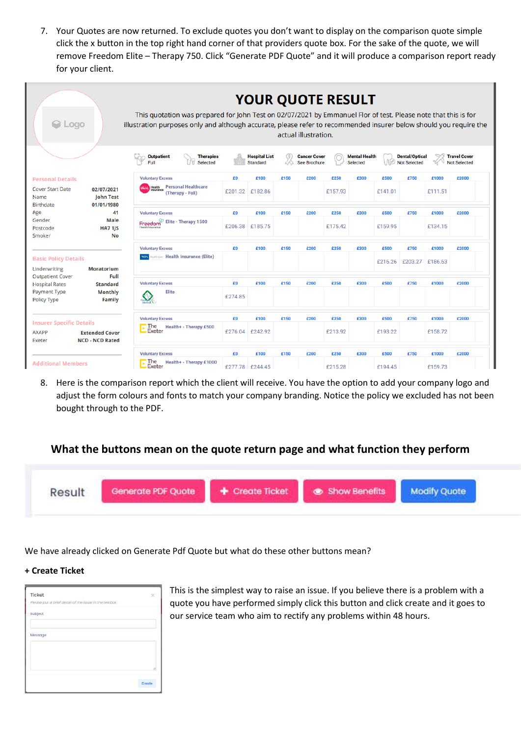7. Your Quotes are now returned. To exclude quotes you don't want to display on the comparison quote simple click the x button in the top right hand corner of that providers quote box. For the sake of the quote, we will remove Freedom Elite – Therapy 750. Click "Generate PDF Quote" and it will produce a comparison report ready for your client.

| C Logo                                                    |                                                 | This quotation was prepared for John Test on 02/07/2021 by Emmanuel Flor of test. Please note that this is for<br>illustration purposes only and although accurate, please refer to recommended insurer below should you require the |                                                       |         |                                         |      | <b>YOUR QUOTE RESULT</b><br>actual illustration. |         |                                         |         |                                              |         |                                            |
|-----------------------------------------------------------|-------------------------------------------------|--------------------------------------------------------------------------------------------------------------------------------------------------------------------------------------------------------------------------------------|-------------------------------------------------------|---------|-----------------------------------------|------|--------------------------------------------------|---------|-----------------------------------------|---------|----------------------------------------------|---------|--------------------------------------------|
|                                                           |                                                 | <b>Outpatient</b><br>Full                                                                                                                                                                                                            | <b>Therapies</b><br><b>Selected</b>                   |         | <b>Hospital List</b><br><b>Standard</b> |      | <b>Cancer Cover</b><br><b>See Brochure</b>       |         | <b>Mental Health</b><br><b>Selected</b> |         | <b>Dental/Optical</b><br><b>Not Selected</b> |         | <b>Travel Cover</b><br><b>Not Selected</b> |
| <b>Personal Details</b>                                   |                                                 | <b>Voluntary Excess</b>                                                                                                                                                                                                              |                                                       | £0      | £100                                    | £150 | £200                                             | £250    | £300                                    | £500    | £750                                         | £1000   | £2000                                      |
| <b>Cover Start Date</b><br>Name<br><b>Birthdate</b>       | 02/07/2021<br><b>John Test</b><br>01/01/1980    | insurance                                                                                                                                                                                                                            | <b>Health</b> Personal Healthcare<br>(Therapy - Full) | £201.32 | £182.86                                 |      |                                                  | £157.93 |                                         | £141.01 |                                              | £111.51 |                                            |
| Age                                                       | 41                                              | <b>Voluntary Excess</b>                                                                                                                                                                                                              |                                                       | £0      | £100                                    | £150 | £200                                             | £250    | £300                                    | £500    | £750                                         | £1000   | £2000                                      |
| Gender<br>Postcode<br>Smoker                              | <b>Male</b><br><b>HA7 1JS</b><br><b>No</b>      | Freedom<br><b>Health Insurance</b>                                                                                                                                                                                                   | Elite - Therapy 1500                                  | £206.38 | £185.75                                 |      |                                                  | £175.42 |                                         | £159.95 |                                              | £134.15 |                                            |
|                                                           |                                                 | <b>Voluntary Excess</b>                                                                                                                                                                                                              |                                                       | £0      | £100                                    | £150 | £200                                             | £250    | £300                                    | £500    | £750                                         | £1000   | £2000                                      |
| <b>Basic Policy Details</b><br>Underwriting               | <b>Moratorium</b>                               | <b>WBX</b> Healthcare Health Insurance (Elite)                                                                                                                                                                                       |                                                       |         |                                         |      |                                                  |         |                                         | £216.26 | £203.27                                      | £186.63 |                                            |
| <b>Outpatient Cover</b><br><b>Hospital Rates</b>          | Full<br><b>Standard</b>                         | <b>Voluntary Excess</b>                                                                                                                                                                                                              |                                                       | £0      | £100                                    | £150 | £200                                             | £250    | £300                                    | £500    | £750                                         | £1000   | £2000                                      |
| <b>Payment Type</b><br><b>Policy Type</b>                 | <b>Monthly</b><br><b>Family</b>                 | <b>Elite</b>                                                                                                                                                                                                                         |                                                       | £274.85 |                                         |      |                                                  |         |                                         |         |                                              |         |                                            |
|                                                           |                                                 | <b>Voluntary Excess</b>                                                                                                                                                                                                              |                                                       | £0      | £100                                    | £150 | £200                                             | £250    | £300                                    | £500    | £750                                         | £1000   | £2000                                      |
| <b>Insurer Specific Details</b><br><b>AXAPP</b><br>Exeter | <b>Extended Cover</b><br><b>NCD - NCD Rated</b> | The<br>Exeter                                                                                                                                                                                                                        | Health+ - Therapy £500                                | £276.04 | £242.92                                 |      |                                                  | £213.92 |                                         | £193.22 |                                              | £158.72 |                                            |
|                                                           |                                                 | <b>Voluntary Excess</b>                                                                                                                                                                                                              |                                                       | £0      | £100                                    | £150 | £200                                             | £250    | £300                                    | £500    | £750                                         | £1000   | £2000                                      |
| <b>Additional Members</b>                                 |                                                 | The<br>Exeter                                                                                                                                                                                                                        | Health+ - Therapy £1000                               | £277.78 | £244.45                                 |      |                                                  | £215.28 |                                         | £194.45 |                                              | £159.73 |                                            |

8. Here is the comparison report which the client will receive. You have the option to add your company logo and adjust the form colours and fonts to match your company branding. Notice the policy we excluded has not been bought through to the PDF.

# **What the buttons mean on the quote return page and what function they perform**



We have already clicked on Generate Pdf Quote but what do these other buttons mean?

### **+ Create Ticket**

| Ticket                                                | ×      |
|-------------------------------------------------------|--------|
| Please put a brief detail of the issue in the textbox |        |
| Subject                                               |        |
|                                                       |        |
| Message                                               |        |
|                                                       |        |
|                                                       |        |
|                                                       |        |
|                                                       |        |
|                                                       | Create |

This is the simplest way to raise an issue. If you believe there is a problem with a quote you have performed simply click this button and click create and it goes to our service team who aim to rectify any problems within 48 hours.